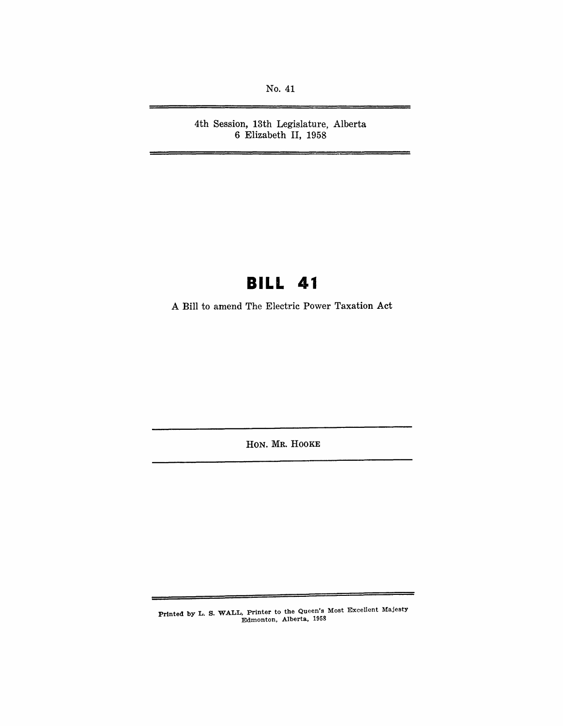No. 41

4th Session, 13th Legislature, Alberta 6 Elizabeth II, 1958

## **BILL 41**

A Bill to amend The Electric Power Taxation Act

HON. MR. HOOKE

Printed by L. S. WALL, Printer to the Queen's Most Excellent Majesty Edmonton, Alberta., 1958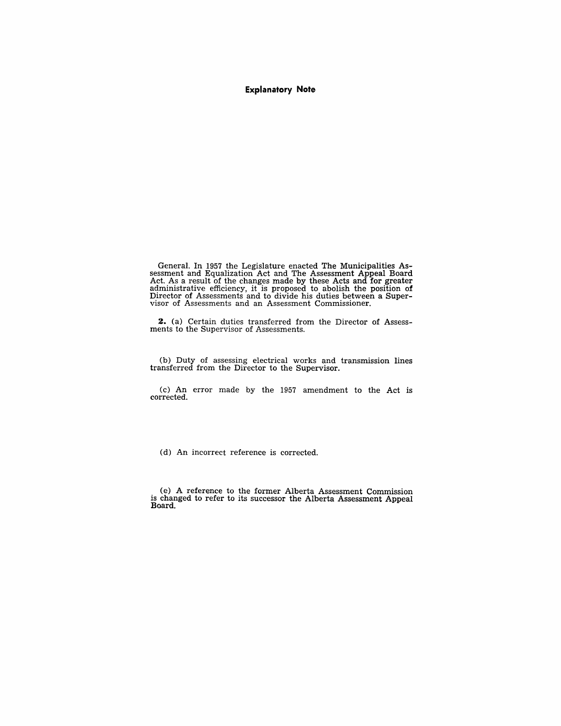#### **Explanatory Note**

General. In 1957 the Legislature enacted The Municipalities Assessment and Equalization Act and The Assessment Appeal Board Act. As a result of the changes made by these Acts and for greater administrative efficiency, it is proposed to abolish the position of Director of Assessments and to divide his duties between a Super- visor of Assessments and an Assessment Commissioner.

**2.** (a) Certain duties transferred from the Director of Assessments to the Supervisor of Assessments.

(b) Duty of assessing electrical works and transmission lines transferred from the Director to the Supervisor.

(c) An error made by the 1957 amendment to the Act is corrected.

(d) An incorrect reference is corrected.

(e) A reference to the former Alberta Assessment Commission is changed to refer to its successor the Alberta Assessment Appeal Board.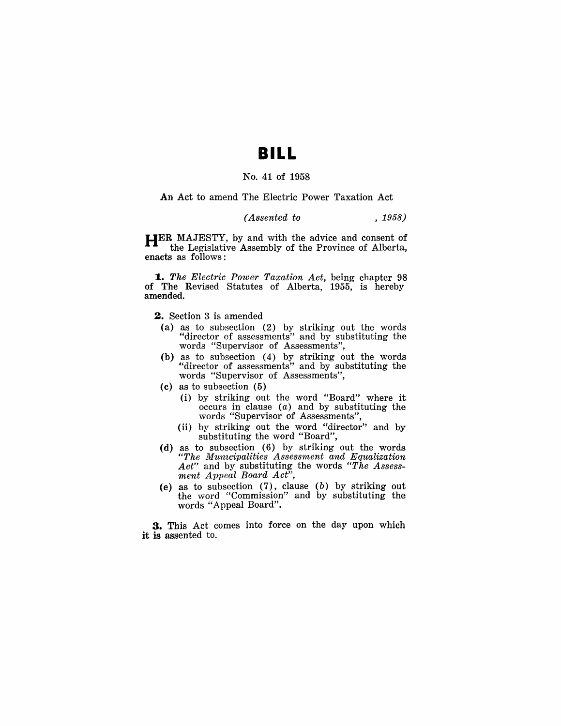### **BILL**

#### No. 41 of 1958

#### An Act to amend The Electric Power Taxation Act

### *(Assented to* , 1958)

HER MAJESTY, by and with the advice and consent of the Legislative Assembly of the Province of Alberta, enacts as follows:

*1. The Electric Power Taxation Act,* being chapter 98 of The Revised Statutes of Alberta, 1955, is hereby amended.

- 2. Section 3 is amended
	- (a) as to subsection (2) by striking out the words "director of assessments" and by substituting the words "Supervisor of Assessments",
	- (b) as to subsection (4) by striking out the words "director of assessments" and by substituting the words "Supervisor of Assessments",
	- (c) as to subsection (5)
		- (i) by striking out the word "Board" where it occurs in clause  $(a)$  and by substituting the words "Supervisor of Assessments",
		- (ii) by striking out the word "director" and by substituting the word "Board",
- (d) as to subsection (6) by striking out the words *"The Munwipalities Assessment and Equalization Act"* and by substituting the words *"The Assessment Appeal Board Act",*
- (e) as to subsection  $(7)$ , clause  $(b)$  by striking out the word "Commission" and by substituting the words "Appeal Board".

3. This Act comes into force on the day upon which it is assented to.